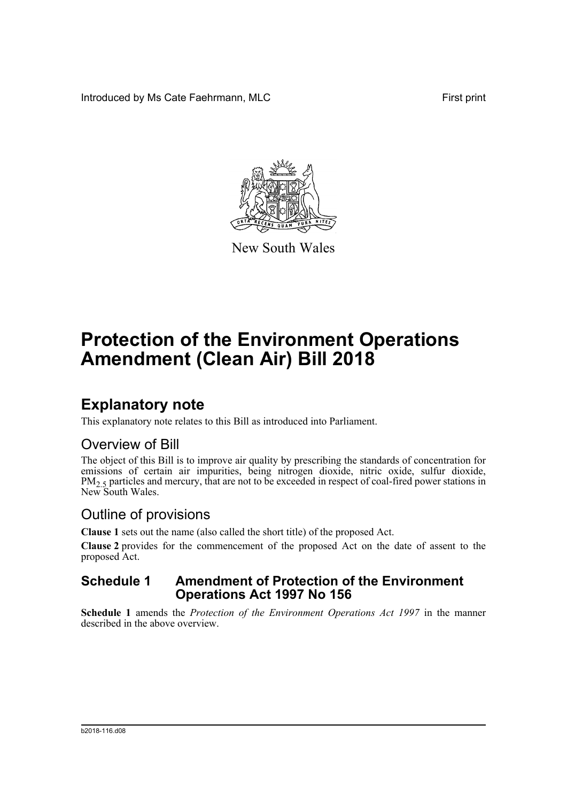Introduced by Ms Cate Faehrmann, MLC **First print** First print



New South Wales

# **Protection of the Environment Operations Amendment (Clean Air) Bill 2018**

## **Explanatory note**

This explanatory note relates to this Bill as introduced into Parliament.

### Overview of Bill

The object of this Bill is to improve air quality by prescribing the standards of concentration for emissions of certain air impurities, being nitrogen dioxide, nitric oxide, sulfur dioxide,  $PM<sub>2.5</sub>$  particles and mercury, that are not to be exceeded in respect of coal-fired power stations in New South Wales.

## Outline of provisions

**Clause 1** sets out the name (also called the short title) of the proposed Act.

**Clause 2** provides for the commencement of the proposed Act on the date of assent to the proposed Act.

### **Schedule 1 Amendment of Protection of the Environment Operations Act 1997 No 156**

**Schedule 1** amends the *Protection of the Environment Operations Act 1997* in the manner described in the above overview.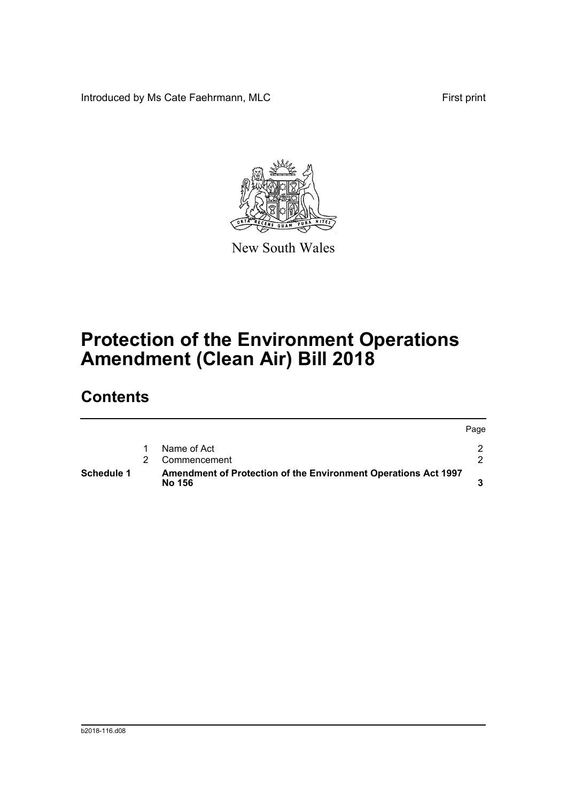Introduced by Ms Cate Faehrmann, MLC First print



New South Wales

# **Protection of the Environment Operations Amendment (Clean Air) Bill 2018**

## **Contents**

| Schedule 1 | Amendment of Protection of the Environment Operations Act 1997<br>No 156 |      |
|------------|--------------------------------------------------------------------------|------|
|            | Commencement                                                             |      |
|            | Name of Act                                                              |      |
|            |                                                                          | Page |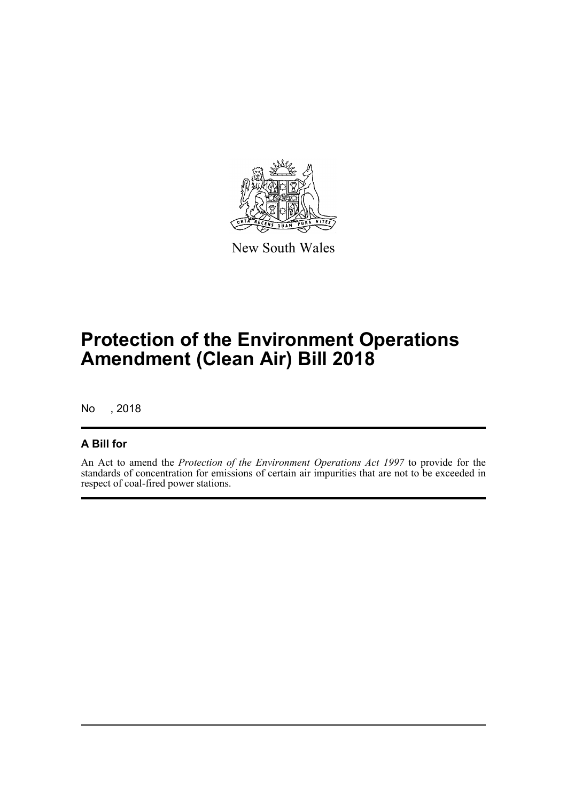

New South Wales

# **Protection of the Environment Operations Amendment (Clean Air) Bill 2018**

No , 2018

### **A Bill for**

An Act to amend the *Protection of the Environment Operations Act 1997* to provide for the standards of concentration for emissions of certain air impurities that are not to be exceeded in respect of coal-fired power stations.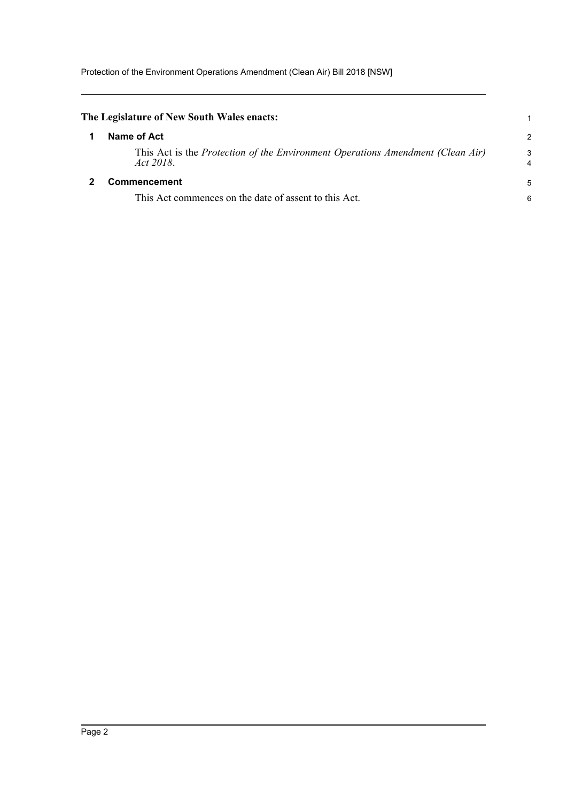<span id="page-3-1"></span><span id="page-3-0"></span>

| The Legislature of New South Wales enacts:                                                  |   |  |  |  |
|---------------------------------------------------------------------------------------------|---|--|--|--|
| Name of Act                                                                                 | 2 |  |  |  |
| This Act is the Protection of the Environment Operations Amendment (Clean Air)<br>Act 2018. | З |  |  |  |
| Commencement                                                                                |   |  |  |  |
| This Act commences on the date of assent to this Act.                                       |   |  |  |  |
|                                                                                             |   |  |  |  |